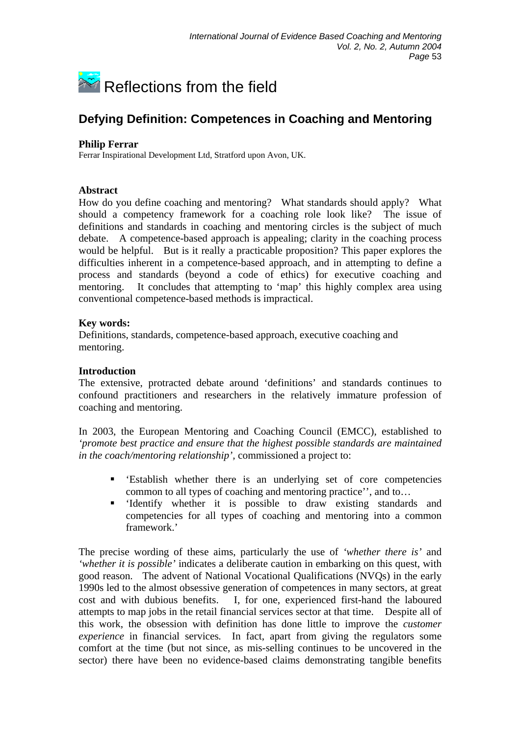

# **Defying Definition: Competences in Coaching and Mentoring**

### **Philip Ferrar**

Ferrar Inspirational Development Ltd, Stratford upon Avon, UK.

# **Abstract**

How do you define coaching and mentoring? What standards should apply? What should a competency framework for a coaching role look like? The issue of definitions and standards in coaching and mentoring circles is the subject of much debate. A competence-based approach is appealing; clarity in the coaching process would be helpful. But is it really a practicable proposition? This paper explores the difficulties inherent in a competence-based approach, and in attempting to define a process and standards (beyond a code of ethics) for executive coaching and mentoring. It concludes that attempting to 'map' this highly complex area using conventional competence-based methods is impractical.

# **Key words:**

Definitions, standards, competence-based approach, executive coaching and mentoring.

#### **Introduction**

The extensive, protracted debate around 'definitions' and standards continues to confound practitioners and researchers in the relatively immature profession of coaching and mentoring.

In 2003, the European Mentoring and Coaching Council (EMCC), established to *'promote best practice and ensure that the highest possible standards are maintained in the coach/mentoring relationship',* commissioned a project to:

- 'Establish whether there is an underlying set of core competencies common to all types of coaching and mentoring practice'', and to…
- 'Identify whether it is possible to draw existing standards and competencies for all types of coaching and mentoring into a common framework.'

The precise wording of these aims, particularly the use of *'whether there is'* and *'whether it is possible'* indicates a deliberate caution in embarking on this quest, with good reason. The advent of National Vocational Qualifications (NVQs) in the early 1990s led to the almost obsessive generation of competences in many sectors, at great cost and with dubious benefits. I, for one, experienced first-hand the laboured attempts to map jobs in the retail financial services sector at that time. Despite all of this work, the obsession with definition has done little to improve the *customer experience* in financial services*.* In fact, apart from giving the regulators some comfort at the time (but not since, as mis-selling continues to be uncovered in the sector) there have been no evidence-based claims demonstrating tangible benefits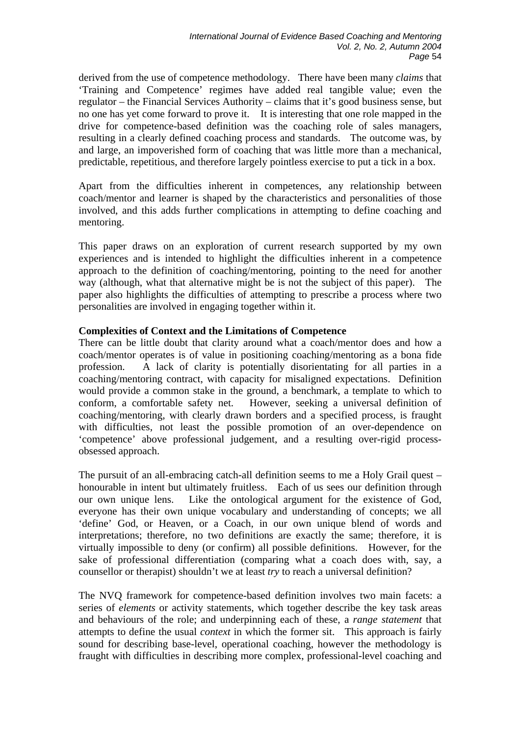derived from the use of competence methodology. There have been many *claims* that 'Training and Competence' regimes have added real tangible value; even the regulator – the Financial Services Authority – claims that it's good business sense, but no one has yet come forward to prove it. It is interesting that one role mapped in the drive for competence-based definition was the coaching role of sales managers, resulting in a clearly defined coaching process and standards. The outcome was, by and large, an impoverished form of coaching that was little more than a mechanical, predictable, repetitious, and therefore largely pointless exercise to put a tick in a box.

Apart from the difficulties inherent in competences, any relationship between coach/mentor and learner is shaped by the characteristics and personalities of those involved, and this adds further complications in attempting to define coaching and mentoring.

This paper draws on an exploration of current research supported by my own experiences and is intended to highlight the difficulties inherent in a competence approach to the definition of coaching/mentoring, pointing to the need for another way (although, what that alternative might be is not the subject of this paper). The paper also highlights the difficulties of attempting to prescribe a process where two personalities are involved in engaging together within it.

#### **Complexities of Context and the Limitations of Competence**

There can be little doubt that clarity around what a coach/mentor does and how a coach/mentor operates is of value in positioning coaching/mentoring as a bona fide profession. A lack of clarity is potentially disorientating for all parties in a coaching/mentoring contract, with capacity for misaligned expectations. Definition would provide a common stake in the ground, a benchmark, a template to which to conform, a comfortable safety net. However, seeking a universal definition of coaching/mentoring, with clearly drawn borders and a specified process, is fraught with difficulties, not least the possible promotion of an over-dependence on 'competence' above professional judgement, and a resulting over-rigid processobsessed approach.

The pursuit of an all-embracing catch-all definition seems to me a Holy Grail quest – honourable in intent but ultimately fruitless. Each of us sees our definition through our own unique lens. Like the ontological argument for the existence of God, everyone has their own unique vocabulary and understanding of concepts; we all 'define' God, or Heaven, or a Coach, in our own unique blend of words and interpretations; therefore, no two definitions are exactly the same; therefore, it is virtually impossible to deny (or confirm) all possible definitions. However, for the sake of professional differentiation (comparing what a coach does with, say, a counsellor or therapist) shouldn't we at least *try* to reach a universal definition?

The NVQ framework for competence-based definition involves two main facets: a series of *elements* or activity statements, which together describe the key task areas and behaviours of the role; and underpinning each of these, a *range statement* that attempts to define the usual *context* in which the former sit. This approach is fairly sound for describing base-level, operational coaching, however the methodology is fraught with difficulties in describing more complex, professional-level coaching and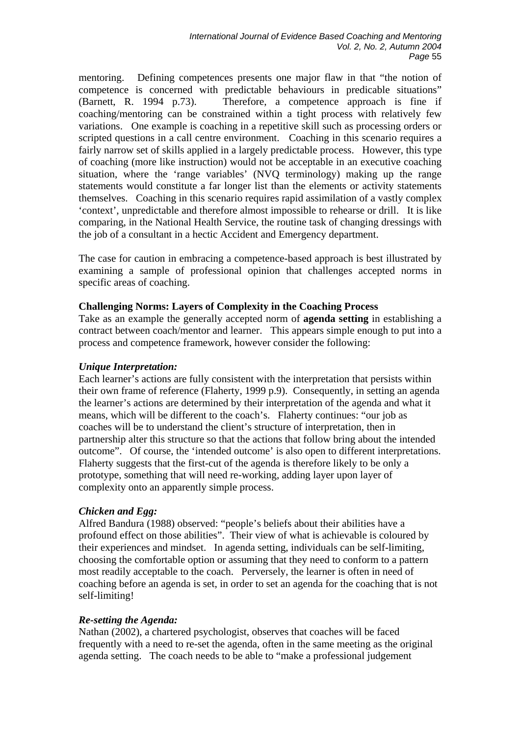mentoring. Defining competences presents one major flaw in that "the notion of competence is concerned with predictable behaviours in predicable situations" (Barnett, R. 1994 p.73). Therefore, a competence approach is fine if coaching/mentoring can be constrained within a tight process with relatively few variations. One example is coaching in a repetitive skill such as processing orders or scripted questions in a call centre environment. Coaching in this scenario requires a fairly narrow set of skills applied in a largely predictable process. However, this type of coaching (more like instruction) would not be acceptable in an executive coaching situation, where the 'range variables' (NVQ terminology) making up the range statements would constitute a far longer list than the elements or activity statements themselves. Coaching in this scenario requires rapid assimilation of a vastly complex 'context', unpredictable and therefore almost impossible to rehearse or drill. It is like comparing, in the National Health Service, the routine task of changing dressings with the job of a consultant in a hectic Accident and Emergency department.

The case for caution in embracing a competence-based approach is best illustrated by examining a sample of professional opinion that challenges accepted norms in specific areas of coaching.

#### **Challenging Norms: Layers of Complexity in the Coaching Process**

Take as an example the generally accepted norm of **agenda setting** in establishing a contract between coach/mentor and learner. This appears simple enough to put into a process and competence framework, however consider the following:

#### *Unique Interpretation:*

Each learner's actions are fully consistent with the interpretation that persists within their own frame of reference (Flaherty, 1999 p.9). Consequently, in setting an agenda the learner's actions are determined by their interpretation of the agenda and what it means, which will be different to the coach's. Flaherty continues: "our job as coaches will be to understand the client's structure of interpretation, then in partnership alter this structure so that the actions that follow bring about the intended outcome". Of course, the 'intended outcome' is also open to different interpretations. Flaherty suggests that the first-cut of the agenda is therefore likely to be only a prototype, something that will need re-working, adding layer upon layer of complexity onto an apparently simple process.

#### *Chicken and Egg:*

Alfred Bandura (1988) observed: "people's beliefs about their abilities have a profound effect on those abilities". Their view of what is achievable is coloured by their experiences and mindset. In agenda setting, individuals can be self-limiting, choosing the comfortable option or assuming that they need to conform to a pattern most readily acceptable to the coach. Perversely, the learner is often in need of coaching before an agenda is set, in order to set an agenda for the coaching that is not self-limiting!

#### *Re-setting the Agenda:*

Nathan (2002), a chartered psychologist, observes that coaches will be faced frequently with a need to re-set the agenda, often in the same meeting as the original agenda setting. The coach needs to be able to "make a professional judgement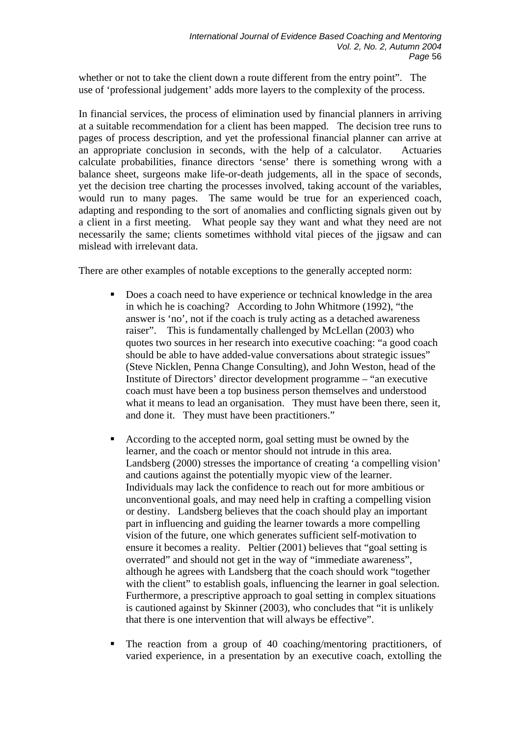whether or not to take the client down a route different from the entry point". The use of 'professional judgement' adds more layers to the complexity of the process.

In financial services, the process of elimination used by financial planners in arriving at a suitable recommendation for a client has been mapped. The decision tree runs to pages of process description, and yet the professional financial planner can arrive at an appropriate conclusion in seconds, with the help of a calculator. Actuaries calculate probabilities, finance directors 'sense' there is something wrong with a balance sheet, surgeons make life-or-death judgements, all in the space of seconds, yet the decision tree charting the processes involved, taking account of the variables, would run to many pages. The same would be true for an experienced coach, adapting and responding to the sort of anomalies and conflicting signals given out by a client in a first meeting. What people say they want and what they need are not necessarily the same; clients sometimes withhold vital pieces of the jigsaw and can mislead with irrelevant data.

There are other examples of notable exceptions to the generally accepted norm:

- Does a coach need to have experience or technical knowledge in the area in which he is coaching? According to John Whitmore (1992), "the answer is 'no', not if the coach is truly acting as a detached awareness raiser". This is fundamentally challenged by McLellan (2003) who quotes two sources in her research into executive coaching: "a good coach should be able to have added-value conversations about strategic issues" (Steve Nicklen, Penna Change Consulting), and John Weston, head of the Institute of Directors' director development programme – "an executive coach must have been a top business person themselves and understood what it means to lead an organisation. They must have been there, seen it, and done it. They must have been practitioners."
- According to the accepted norm, goal setting must be owned by the learner, and the coach or mentor should not intrude in this area. Landsberg (2000) stresses the importance of creating 'a compelling vision' and cautions against the potentially myopic view of the learner. Individuals may lack the confidence to reach out for more ambitious or unconventional goals, and may need help in crafting a compelling vision or destiny. Landsberg believes that the coach should play an important part in influencing and guiding the learner towards a more compelling vision of the future, one which generates sufficient self-motivation to ensure it becomes a reality. Peltier (2001) believes that "goal setting is overrated" and should not get in the way of "immediate awareness", although he agrees with Landsberg that the coach should work "together with the client" to establish goals, influencing the learner in goal selection. Furthermore, a prescriptive approach to goal setting in complex situations is cautioned against by Skinner (2003), who concludes that "it is unlikely that there is one intervention that will always be effective".
- The reaction from a group of 40 coaching/mentoring practitioners, of varied experience, in a presentation by an executive coach, extolling the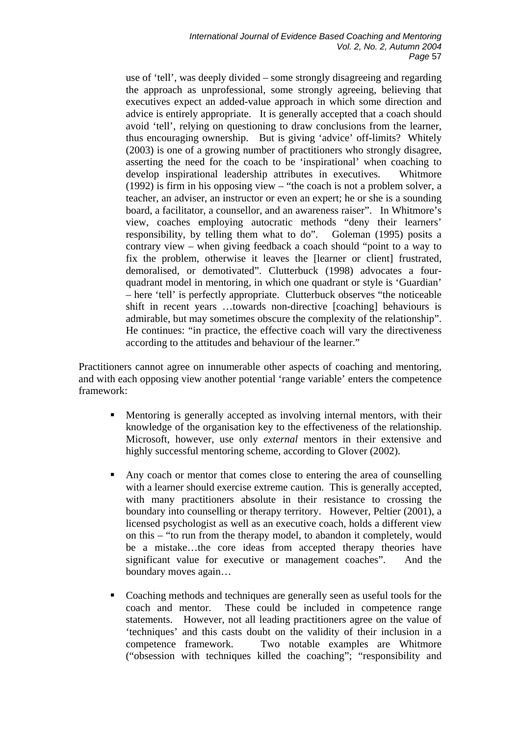use of 'tell', was deeply divided – some strongly disagreeing and regarding the approach as unprofessional, some strongly agreeing, believing that executives expect an added-value approach in which some direction and advice is entirely appropriate. It is generally accepted that a coach should avoid 'tell', relying on questioning to draw conclusions from the learner, thus encouraging ownership. But is giving 'advice' off-limits? Whitely (2003) is one of a growing number of practitioners who strongly disagree, asserting the need for the coach to be 'inspirational' when coaching to develop inspirational leadership attributes in executives. Whitmore (1992) is firm in his opposing view – "the coach is not a problem solver, a teacher, an adviser, an instructor or even an expert; he or she is a sounding board, a facilitator, a counsellor, and an awareness raiser". In Whitmore's view, coaches employing autocratic methods "deny their learners' responsibility, by telling them what to do". Goleman (1995) posits a contrary view – when giving feedback a coach should "point to a way to fix the problem, otherwise it leaves the [learner or client] frustrated, demoralised, or demotivated". Clutterbuck (1998) advocates a fourquadrant model in mentoring, in which one quadrant or style is 'Guardian' – here 'tell' is perfectly appropriate. Clutterbuck observes "the noticeable shift in recent years …towards non-directive [coaching] behaviours is admirable, but may sometimes obscure the complexity of the relationship". He continues: "in practice, the effective coach will vary the directiveness according to the attitudes and behaviour of the learner."

Practitioners cannot agree on innumerable other aspects of coaching and mentoring, and with each opposing view another potential 'range variable' enters the competence framework:

- Mentoring is generally accepted as involving internal mentors, with their knowledge of the organisation key to the effectiveness of the relationship. Microsoft, however, use only *external* mentors in their extensive and highly successful mentoring scheme, according to Glover (2002).
- Any coach or mentor that comes close to entering the area of counselling with a learner should exercise extreme caution. This is generally accepted, with many practitioners absolute in their resistance to crossing the boundary into counselling or therapy territory. However, Peltier (2001), a licensed psychologist as well as an executive coach, holds a different view on this – "to run from the therapy model, to abandon it completely, would be a mistake…the core ideas from accepted therapy theories have significant value for executive or management coaches". And the boundary moves again…
- Coaching methods and techniques are generally seen as useful tools for the coach and mentor. These could be included in competence range statements. However, not all leading practitioners agree on the value of 'techniques' and this casts doubt on the validity of their inclusion in a competence framework. Two notable examples are Whitmore ("obsession with techniques killed the coaching"; "responsibility and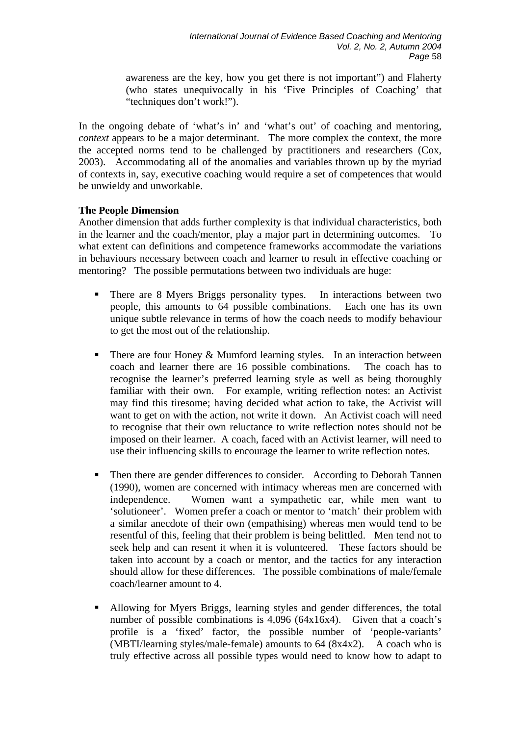awareness are the key, how you get there is not important") and Flaherty (who states unequivocally in his 'Five Principles of Coaching' that "techniques don't work!").

In the ongoing debate of 'what's in' and 'what's out' of coaching and mentoring, *context* appears to be a major determinant. The more complex the context, the more the accepted norms tend to be challenged by practitioners and researchers (Cox, 2003). Accommodating all of the anomalies and variables thrown up by the myriad of contexts in, say, executive coaching would require a set of competences that would be unwieldy and unworkable.

# **The People Dimension**

Another dimension that adds further complexity is that individual characteristics, both in the learner and the coach/mentor, play a major part in determining outcomes. To what extent can definitions and competence frameworks accommodate the variations in behaviours necessary between coach and learner to result in effective coaching or mentoring? The possible permutations between two individuals are huge:

- There are 8 Myers Briggs personality types. In interactions between two people, this amounts to 64 possible combinations. Each one has its own unique subtle relevance in terms of how the coach needs to modify behaviour to get the most out of the relationship.
- There are four Honey & Mumford learning styles. In an interaction between coach and learner there are 16 possible combinations. The coach has to recognise the learner's preferred learning style as well as being thoroughly familiar with their own. For example, writing reflection notes: an Activist may find this tiresome; having decided what action to take, the Activist will want to get on with the action, not write it down. An Activist coach will need to recognise that their own reluctance to write reflection notes should not be imposed on their learner. A coach, faced with an Activist learner, will need to use their influencing skills to encourage the learner to write reflection notes.
- Then there are gender differences to consider. According to Deborah Tannen (1990), women are concerned with intimacy whereas men are concerned with independence. Women want a sympathetic ear, while men want to 'solutioneer'. Women prefer a coach or mentor to 'match' their problem with a similar anecdote of their own (empathising) whereas men would tend to be resentful of this, feeling that their problem is being belittled. Men tend not to seek help and can resent it when it is volunteered. These factors should be taken into account by a coach or mentor, and the tactics for any interaction should allow for these differences. The possible combinations of male/female coach/learner amount to 4.
- Allowing for Myers Briggs, learning styles and gender differences, the total number of possible combinations is 4,096 (64x16x4). Given that a coach's profile is a 'fixed' factor, the possible number of 'people-variants' (MBTI/learning styles/male-female) amounts to  $64 (8x4x2)$ . A coach who is truly effective across all possible types would need to know how to adapt to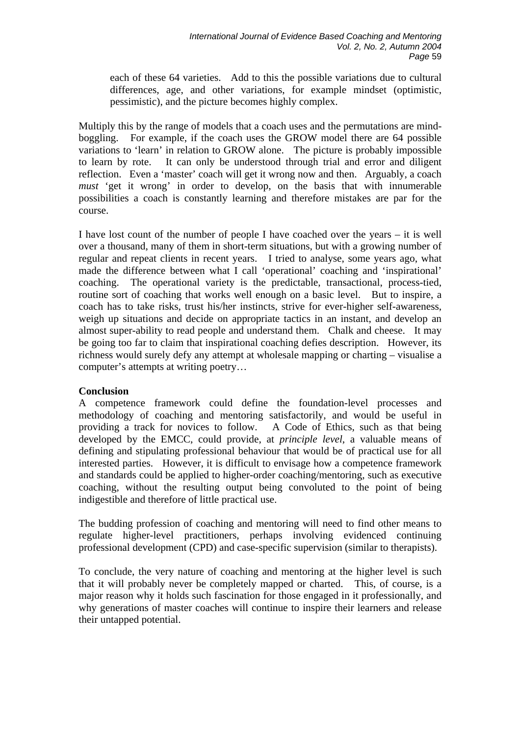each of these 64 varieties. Add to this the possible variations due to cultural differences, age, and other variations, for example mindset (optimistic, pessimistic), and the picture becomes highly complex.

Multiply this by the range of models that a coach uses and the permutations are mindboggling. For example, if the coach uses the GROW model there are 64 possible variations to 'learn' in relation to GROW alone. The picture is probably impossible to learn by rote. It can only be understood through trial and error and diligent reflection. Even a 'master' coach will get it wrong now and then. Arguably, a coach *must* 'get it wrong' in order to develop, on the basis that with innumerable possibilities a coach is constantly learning and therefore mistakes are par for the course.

I have lost count of the number of people I have coached over the years – it is well over a thousand, many of them in short-term situations, but with a growing number of regular and repeat clients in recent years. I tried to analyse, some years ago, what made the difference between what I call 'operational' coaching and 'inspirational' coaching. The operational variety is the predictable, transactional, process-tied, routine sort of coaching that works well enough on a basic level. But to inspire, a coach has to take risks, trust his/her instincts, strive for ever-higher self-awareness, weigh up situations and decide on appropriate tactics in an instant, and develop an almost super-ability to read people and understand them. Chalk and cheese. It may be going too far to claim that inspirational coaching defies description. However, its richness would surely defy any attempt at wholesale mapping or charting – visualise a computer's attempts at writing poetry…

#### **Conclusion**

A competence framework could define the foundation-level processes and methodology of coaching and mentoring satisfactorily, and would be useful in providing a track for novices to follow. A Code of Ethics, such as that being developed by the EMCC, could provide, at *principle level*, a valuable means of defining and stipulating professional behaviour that would be of practical use for all interested parties. However, it is difficult to envisage how a competence framework and standards could be applied to higher-order coaching/mentoring, such as executive coaching, without the resulting output being convoluted to the point of being indigestible and therefore of little practical use.

The budding profession of coaching and mentoring will need to find other means to regulate higher-level practitioners, perhaps involving evidenced continuing professional development (CPD) and case-specific supervision (similar to therapists).

To conclude, the very nature of coaching and mentoring at the higher level is such that it will probably never be completely mapped or charted. This, of course, is a major reason why it holds such fascination for those engaged in it professionally, and why generations of master coaches will continue to inspire their learners and release their untapped potential.